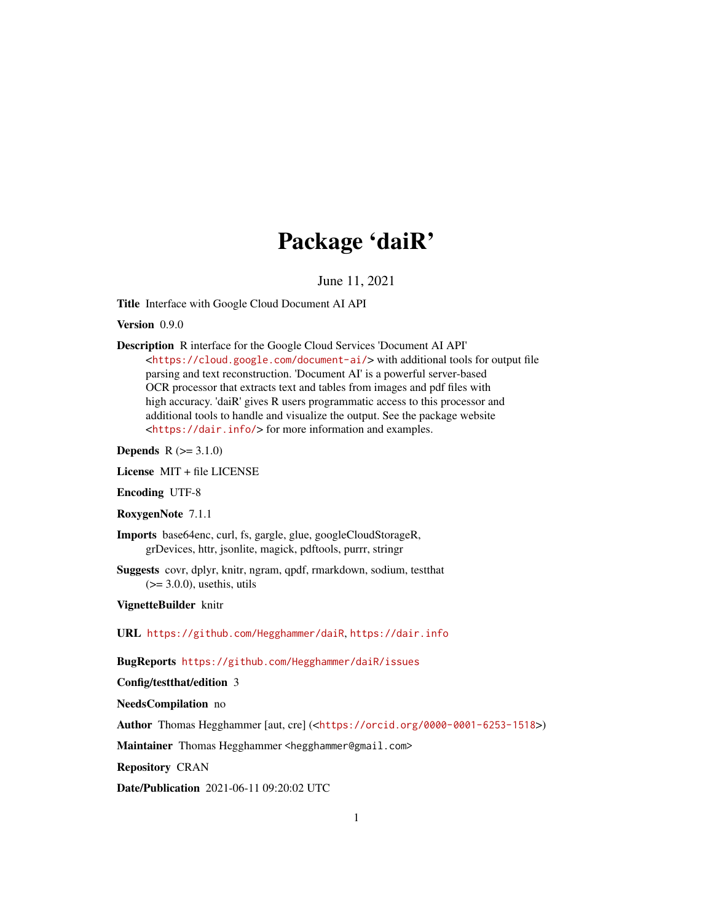# Package 'daiR'

June 11, 2021

Title Interface with Google Cloud Document AI API

Version 0.9.0

Description R interface for the Google Cloud Services 'Document AI API' <<https://cloud.google.com/document-ai/>> with additional tools for output file parsing and text reconstruction. 'Document AI' is a powerful server-based OCR processor that extracts text and tables from images and pdf files with high accuracy. 'daiR' gives R users programmatic access to this processor and additional tools to handle and visualize the output. See the package website <<https://dair.info/>> for more information and examples.

**Depends**  $R (= 3.1.0)$ 

License MIT + file LICENSE

Encoding UTF-8

RoxygenNote 7.1.1

Imports base64enc, curl, fs, gargle, glue, googleCloudStorageR, grDevices, httr, jsonlite, magick, pdftools, purrr, stringr

Suggests covr, dplyr, knitr, ngram, qpdf, rmarkdown, sodium, testthat  $(>= 3.0.0)$ , usethis, utils

VignetteBuilder knitr

URL <https://github.com/Hegghammer/daiR>, <https://dair.info>

BugReports <https://github.com/Hegghammer/daiR/issues>

Config/testthat/edition 3

NeedsCompilation no

Author Thomas Hegghammer [aut, cre] (<<https://orcid.org/0000-0001-6253-1518>>)

Maintainer Thomas Hegghammer <hegghammer@gmail.com>

Repository CRAN

Date/Publication 2021-06-11 09:20:02 UTC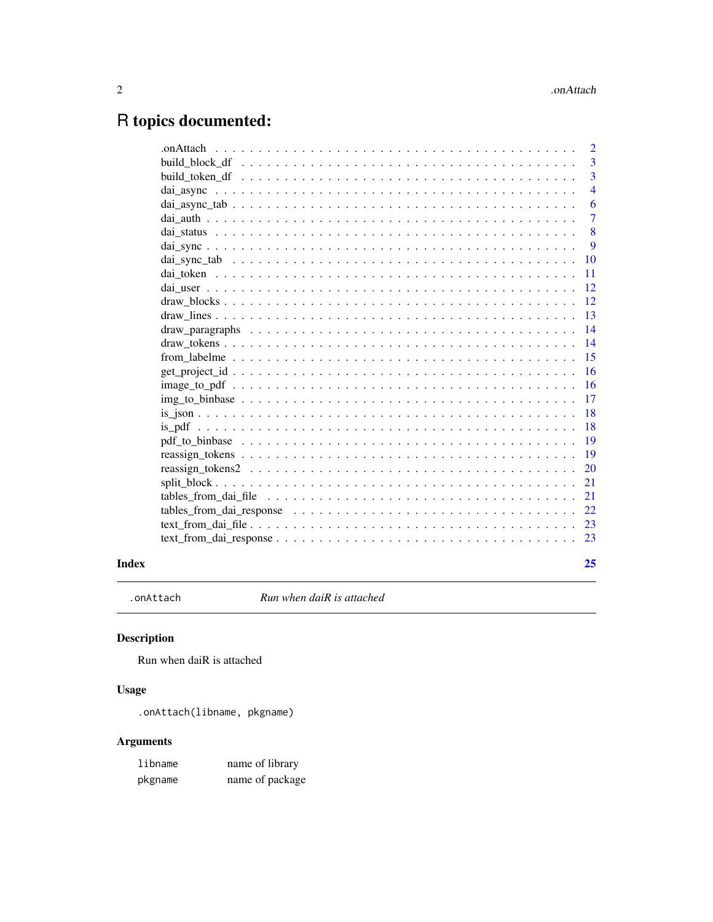# <span id="page-1-0"></span>R topics documented:

|       | 2              |
|-------|----------------|
|       | 3              |
|       | $\overline{3}$ |
|       | $\overline{4}$ |
|       | 6              |
|       | $\overline{7}$ |
|       | 8              |
|       | 9              |
|       | 10             |
|       | 11             |
|       | 12             |
|       | 12             |
|       | 13             |
|       | 14             |
|       | 14             |
|       | 15             |
|       | 16             |
|       | <b>16</b>      |
|       | 17             |
|       | 18             |
|       | 18             |
|       | 19             |
|       | 19             |
|       | <b>20</b>      |
|       | 21             |
|       | 21             |
|       | 22             |
|       | -23            |
|       |                |
| Index | 25             |

.onAttach *Run when daiR is attached*

### Description

Run when daiR is attached

### Usage

.onAttach(libname, pkgname)

### Arguments

| libname | name of library |
|---------|-----------------|
| pkgname | name of package |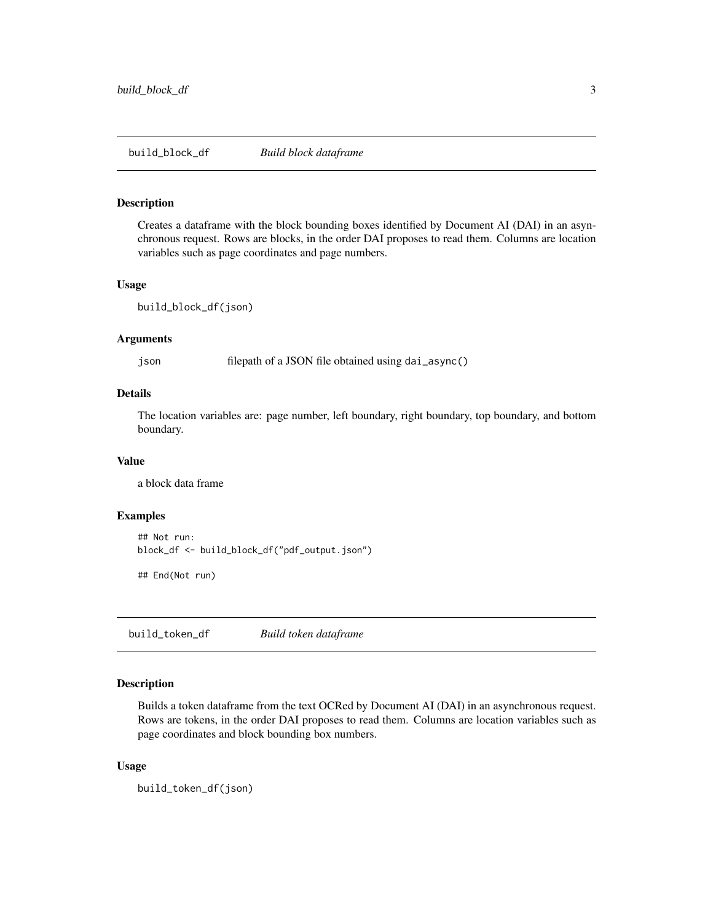<span id="page-2-0"></span>build\_block\_df *Build block dataframe*

#### Description

Creates a dataframe with the block bounding boxes identified by Document AI (DAI) in an asynchronous request. Rows are blocks, in the order DAI proposes to read them. Columns are location variables such as page coordinates and page numbers.

#### Usage

```
build_block_df(json)
```
#### Arguments

json filepath of a JSON file obtained using dai\_async()

#### Details

The location variables are: page number, left boundary, right boundary, top boundary, and bottom boundary.

#### Value

a block data frame

#### Examples

```
## Not run:
block_df <- build_block_df("pdf_output.json")
```
## End(Not run)

build\_token\_df *Build token dataframe*

#### Description

Builds a token dataframe from the text OCRed by Document AI (DAI) in an asynchronous request. Rows are tokens, in the order DAI proposes to read them. Columns are location variables such as page coordinates and block bounding box numbers.

#### Usage

build\_token\_df(json)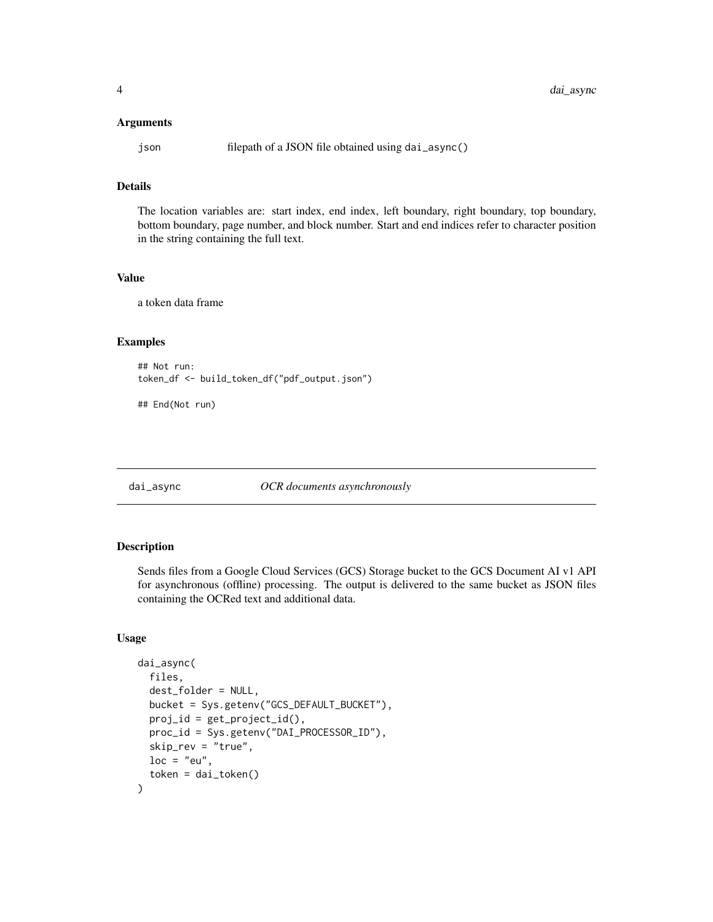#### <span id="page-3-0"></span>Arguments

json filepath of a JSON file obtained using dai\_async()

#### Details

The location variables are: start index, end index, left boundary, right boundary, top boundary, bottom boundary, page number, and block number. Start and end indices refer to character position in the string containing the full text.

#### Value

a token data frame

#### Examples

```
## Not run:
token_df <- build_token_df("pdf_output.json")
```
## End(Not run)

#### dai\_async *OCR documents asynchronously*

#### Description

Sends files from a Google Cloud Services (GCS) Storage bucket to the GCS Document AI v1 API for asynchronous (offline) processing. The output is delivered to the same bucket as JSON files containing the OCRed text and additional data.

#### Usage

```
dai_async(
  files,
  dest_folder = NULL,
 bucket = Sys.getenv("GCS_DEFAULT_BUCKET"),
  proj_id = get\_project_id(),proc_id = Sys.getenv("DAI_PROCESSOR_ID"),
  skip_rev = "true",
 loc = "eu",token = dai_token()
)
```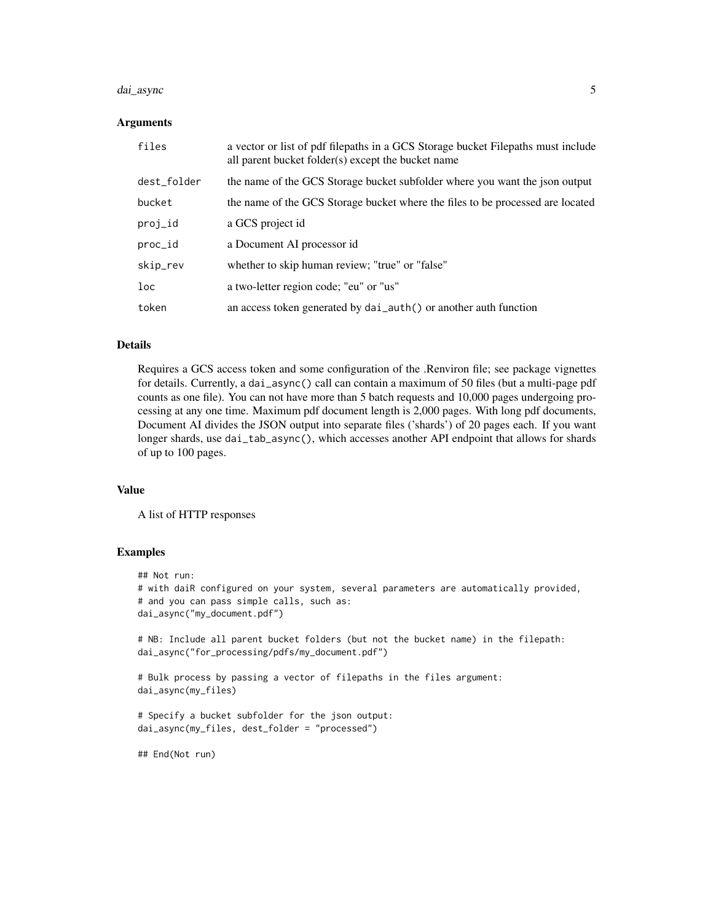#### dai\_async 5

#### Arguments

| files       | a vector or list of pdf filepaths in a GCS Storage bucket Filepaths must include<br>all parent bucket folder(s) except the bucket name |
|-------------|----------------------------------------------------------------------------------------------------------------------------------------|
| dest_folder | the name of the GCS Storage bucket subfolder where you want the json output                                                            |
| bucket      | the name of the GCS Storage bucket where the files to be processed are located                                                         |
| proj_id     | a GCS project id                                                                                                                       |
| proc_id     | a Document AI processor id                                                                                                             |
| skip_rev    | whether to skip human review; "true" or "false"                                                                                        |
| loc         | a two-letter region code; "eu" or "us"                                                                                                 |
| token       | an access token generated by dai_auth() or another auth function                                                                       |

#### Details

Requires a GCS access token and some configuration of the .Renviron file; see package vignettes for details. Currently, a dai\_async() call can contain a maximum of 50 files (but a multi-page pdf counts as one file). You can not have more than 5 batch requests and 10,000 pages undergoing processing at any one time. Maximum pdf document length is 2,000 pages. With long pdf documents, Document AI divides the JSON output into separate files ('shards') of 20 pages each. If you want longer shards, use dai\_tab\_async(), which accesses another API endpoint that allows for shards of up to 100 pages.

#### Value

A list of HTTP responses

#### Examples

```
## Not run:
# with daiR configured on your system, several parameters are automatically provided,
# and you can pass simple calls, such as:
dai_async("my_document.pdf")
# NB: Include all parent bucket folders (but not the bucket name) in the filepath:
dai_async("for_processing/pdfs/my_document.pdf")
# Bulk process by passing a vector of filepaths in the files argument:
dai_async(my_files)
# Specify a bucket subfolder for the json output:
dai_async(my_files, dest_folder = "processed")
```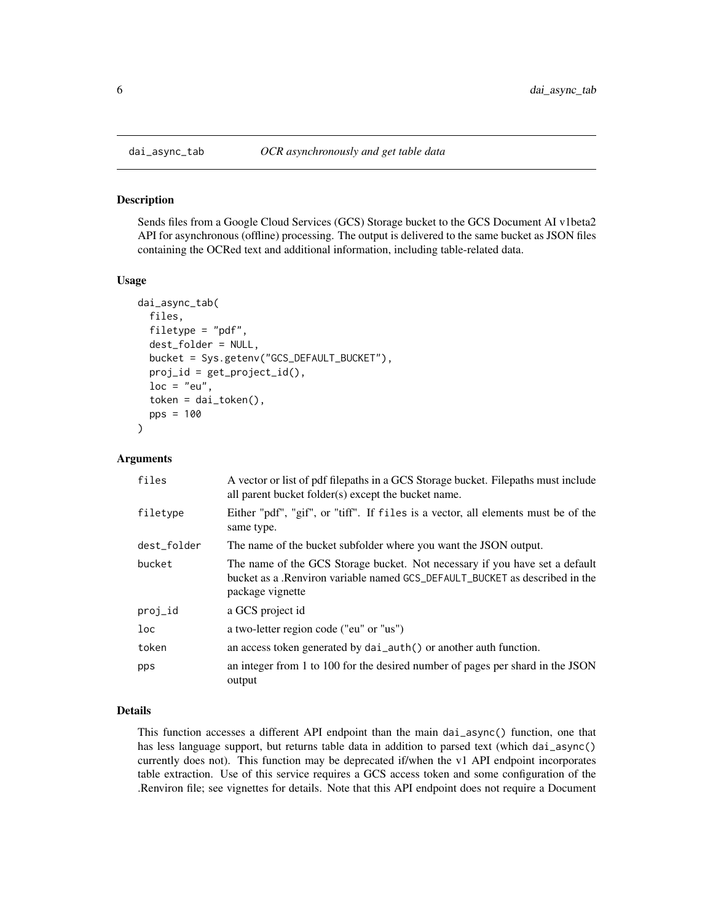Sends files from a Google Cloud Services (GCS) Storage bucket to the GCS Document AI v1beta2 API for asynchronous (offline) processing. The output is delivered to the same bucket as JSON files containing the OCRed text and additional information, including table-related data.

#### Usage

```
dai_async_tab(
  files,
  filetype = "pdf",
  dest_folder = NULL,
 bucket = Sys.getenv("GCS_DEFAULT_BUCKET"),
 proj_id = get\_project_id(),loc = "eu",token = dai\_token(),
  pps = 100
)
```
#### Arguments

| files           | A vector or list of pdf filepaths in a GCS Storage bucket. Filepaths must include<br>all parent bucket folder(s) except the bucket name.                                       |
|-----------------|--------------------------------------------------------------------------------------------------------------------------------------------------------------------------------|
| filetype        | Either "pdf", "gif", or "tiff". If files is a vector, all elements must be of the<br>same type.                                                                                |
| dest_folder     | The name of the bucket subfolder where you want the JSON output.                                                                                                               |
| bucket          | The name of the GCS Storage bucket. Not necessary if you have set a default<br>bucket as a .Renviron variable named GCS_DEFAULT_BUCKET as described in the<br>package vignette |
| proj_id         | a GCS project id                                                                                                                                                               |
| 1 <sub>oc</sub> | a two-letter region code ("eu" or "us")                                                                                                                                        |
| token           | an access token generated by dai_auth() or another auth function.                                                                                                              |
| pps             | an integer from 1 to 100 for the desired number of pages per shard in the JSON<br>output                                                                                       |

#### Details

This function accesses a different API endpoint than the main dai\_async() function, one that has less language support, but returns table data in addition to parsed text (which dai\_async() currently does not). This function may be deprecated if/when the v1 API endpoint incorporates table extraction. Use of this service requires a GCS access token and some configuration of the .Renviron file; see vignettes for details. Note that this API endpoint does not require a Document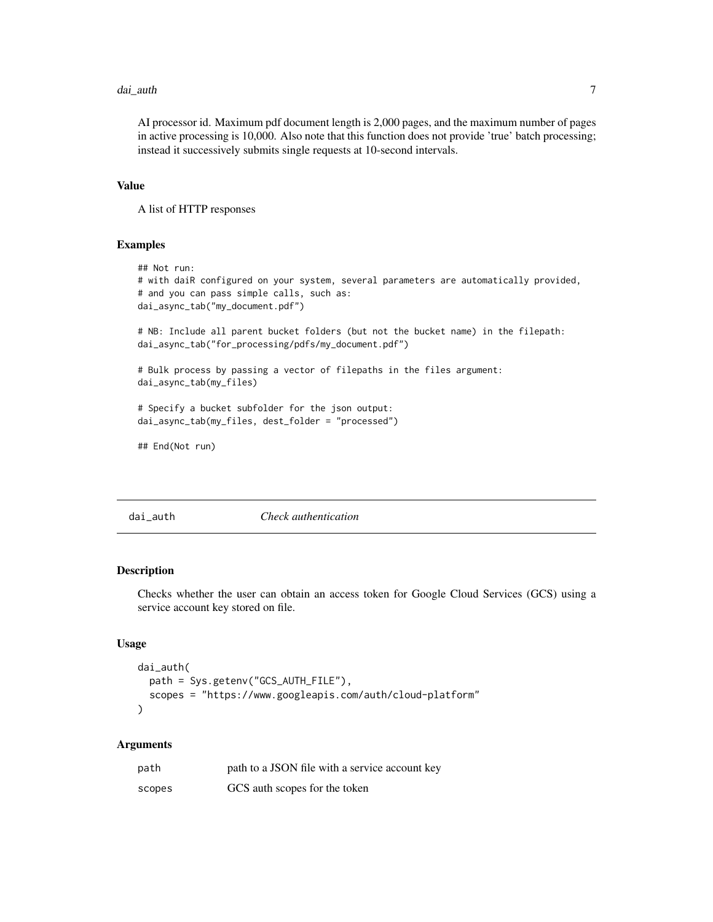#### <span id="page-6-0"></span>dai\_auth 7 and 7 and 7 and 7 and 7 and 7 and 7 and 7 and 7 and 7 and 7 and 7 and 7 and 7 and 7 and 7 and 7 and 7 and 7 and 7 and 7 and 7 and 7 and 7 and 7 and 7 and 7 and 7 and 7 and 7 and 7 and 7 and 7 and 7 and 7 and 7 a

AI processor id. Maximum pdf document length is 2,000 pages, and the maximum number of pages in active processing is 10,000. Also note that this function does not provide 'true' batch processing; instead it successively submits single requests at 10-second intervals.

#### Value

A list of HTTP responses

#### Examples

```
## Not run:
# with daiR configured on your system, several parameters are automatically provided,
# and you can pass simple calls, such as:
dai_async_tab("my_document.pdf")
# NB: Include all parent bucket folders (but not the bucket name) in the filepath:
dai_async_tab("for_processing/pdfs/my_document.pdf")
# Bulk process by passing a vector of filepaths in the files argument:
dai_async_tab(my_files)
# Specify a bucket subfolder for the json output:
dai_async_tab(my_files, dest_folder = "processed")
## End(Not run)
```
dai\_auth *Check authentication*

#### Description

Checks whether the user can obtain an access token for Google Cloud Services (GCS) using a service account key stored on file.

#### Usage

```
dai_auth(
  path = Sys.getenv("GCS_AUTH_FILE"),
  scopes = "https://www.googleapis.com/auth/cloud-platform"
)
```
#### Arguments

| path   | path to a JSON file with a service account key |
|--------|------------------------------------------------|
| scopes | GCS auth scopes for the token                  |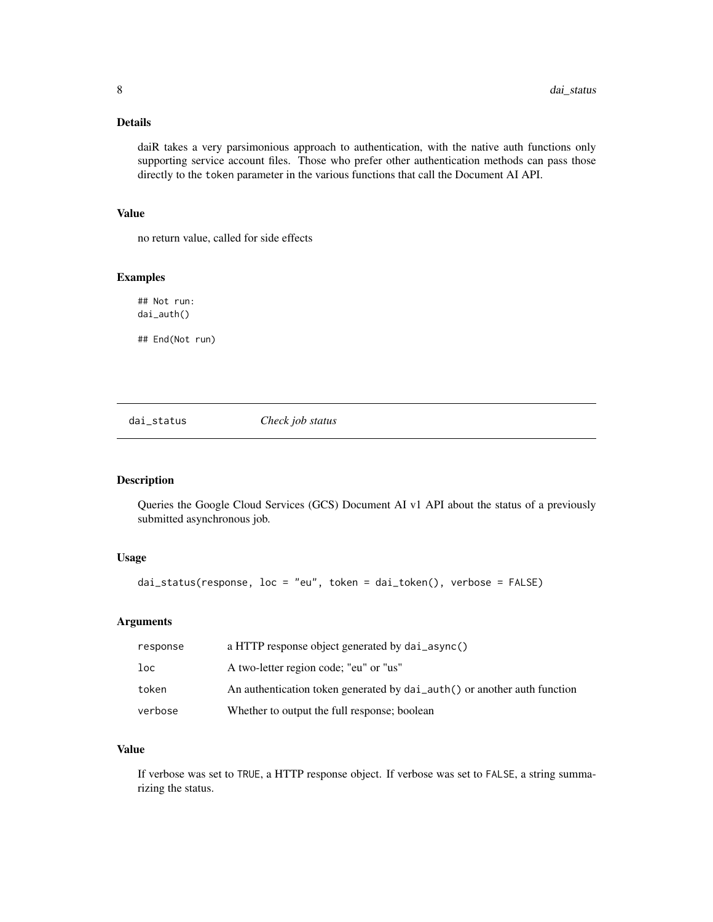#### <span id="page-7-0"></span>Details

daiR takes a very parsimonious approach to authentication, with the native auth functions only supporting service account files. Those who prefer other authentication methods can pass those directly to the token parameter in the various functions that call the Document AI API.

#### Value

no return value, called for side effects

#### Examples

## Not run: dai\_auth()

## End(Not run)

dai\_status *Check job status*

#### Description

Queries the Google Cloud Services (GCS) Document AI v1 API about the status of a previously submitted asynchronous job.

#### Usage

dai\_status(response, loc = "eu", token = dai\_token(), verbose = FALSE)

#### Arguments

| response | a HTTP response object generated by dai_async()                          |
|----------|--------------------------------------------------------------------------|
| loc      | A two-letter region code; "eu" or "us"                                   |
| token    | An authentication token generated by dai_auth() or another auth function |
| verbose  | Whether to output the full response; boolean                             |

#### Value

If verbose was set to TRUE, a HTTP response object. If verbose was set to FALSE, a string summarizing the status.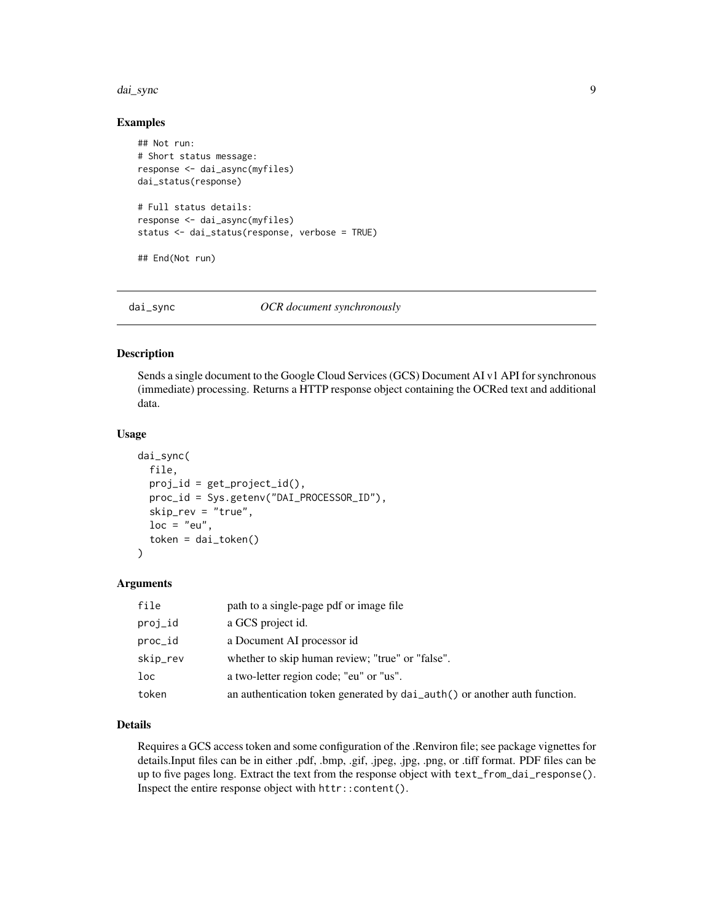#### <span id="page-8-0"></span>dai\_sync 9

#### Examples

```
## Not run:
# Short status message:
response <- dai_async(myfiles)
dai_status(response)
# Full status details:
response <- dai_async(myfiles)
status <- dai_status(response, verbose = TRUE)
## End(Not run)
```
#### dai\_sync *OCR document synchronously*

#### Description

Sends a single document to the Google Cloud Services (GCS) Document AI v1 API for synchronous (immediate) processing. Returns a HTTP response object containing the OCRed text and additional data.

#### Usage

```
dai_sync(
  file,
  proj_id = get\_project_id(),proc_id = Sys.getenv("DAI_PROCESSOR_ID"),
  skip_rev = "true",
  loc = "eu",token = dai_token()
)
```
#### Arguments

| file     | path to a single-page pdf or image file                                   |
|----------|---------------------------------------------------------------------------|
| proj_id  | a GCS project id.                                                         |
| proc_id  | a Document AI processor id                                                |
| skip_rev | whether to skip human review; "true" or "false".                          |
| loc      | a two-letter region code; "eu" or "us".                                   |
| token    | an authentication token generated by dai_auth() or another auth function. |

#### Details

Requires a GCS access token and some configuration of the .Renviron file; see package vignettes for details.Input files can be in either .pdf, .bmp, .gif, .jpeg, .jpg, .png, or .tiff format. PDF files can be up to five pages long. Extract the text from the response object with text\_from\_dai\_response(). Inspect the entire response object with httr::content().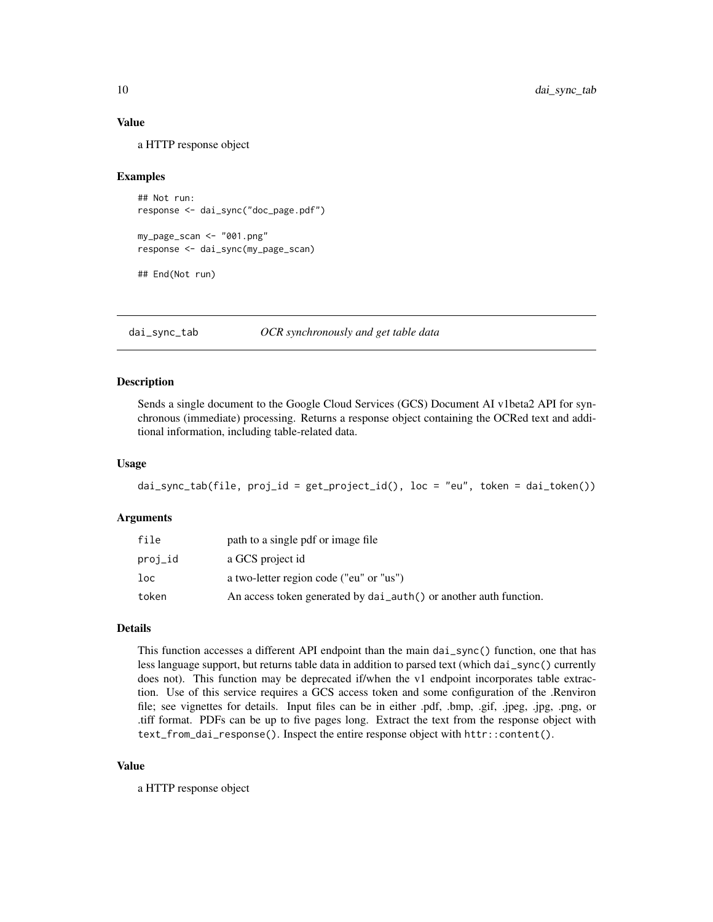#### <span id="page-9-0"></span>Value

a HTTP response object

#### Examples

```
## Not run:
response <- dai_sync("doc_page.pdf")
my_page_scan <- "001.png"
response <- dai_sync(my_page_scan)
## End(Not run)
```
dai\_sync\_tab *OCR synchronously and get table data*

#### Description

Sends a single document to the Google Cloud Services (GCS) Document AI v1beta2 API for synchronous (immediate) processing. Returns a response object containing the OCRed text and additional information, including table-related data.

#### Usage

```
dai_sync_tab(file, proj_id = get_project_id(), loc = "eu", token = dai_token())
```
#### Arguments

| file    | path to a single pdf or image file                                |
|---------|-------------------------------------------------------------------|
| proj_id | a GCS project id                                                  |
| loc     | a two-letter region code ("eu" or "us")                           |
| token   | An access token generated by dai_auth() or another auth function. |

#### Details

This function accesses a different API endpoint than the main dai\_sync() function, one that has less language support, but returns table data in addition to parsed text (which dai\_sync() currently does not). This function may be deprecated if/when the v1 endpoint incorporates table extraction. Use of this service requires a GCS access token and some configuration of the .Renviron file; see vignettes for details. Input files can be in either .pdf, .bmp, .gif, .jpeg, .jpg, .png, or .tiff format. PDFs can be up to five pages long. Extract the text from the response object with text\_from\_dai\_response(). Inspect the entire response object with httr::content().

#### Value

a HTTP response object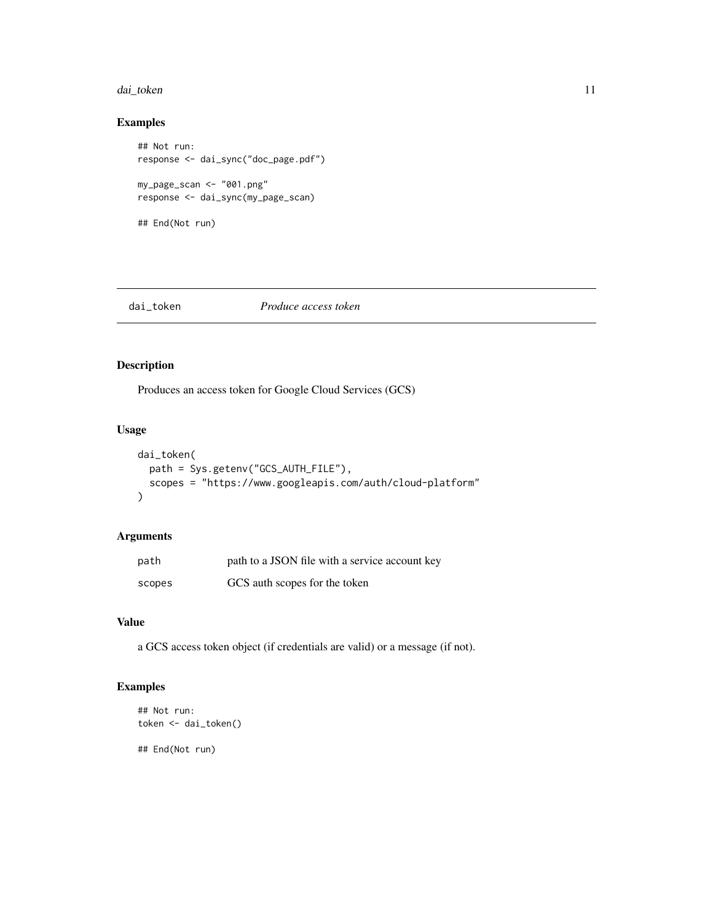#### <span id="page-10-0"></span>dai\_token 11

#### Examples

```
## Not run:
response <- dai_sync("doc_page.pdf")
my_page_scan <- "001.png"
response <- dai_sync(my_page_scan)
## End(Not run)
```
#### dai\_token *Produce access token*

#### Description

Produces an access token for Google Cloud Services (GCS)

#### Usage

```
dai_token(
 path = Sys.getenv("GCS_AUTH_FILE"),
 scopes = "https://www.googleapis.com/auth/cloud-platform"
)
```
#### Arguments

| path   | path to a JSON file with a service account key |
|--------|------------------------------------------------|
| scopes | GCS auth scopes for the token                  |

#### Value

a GCS access token object (if credentials are valid) or a message (if not).

#### Examples

```
## Not run:
token <- dai_token()
```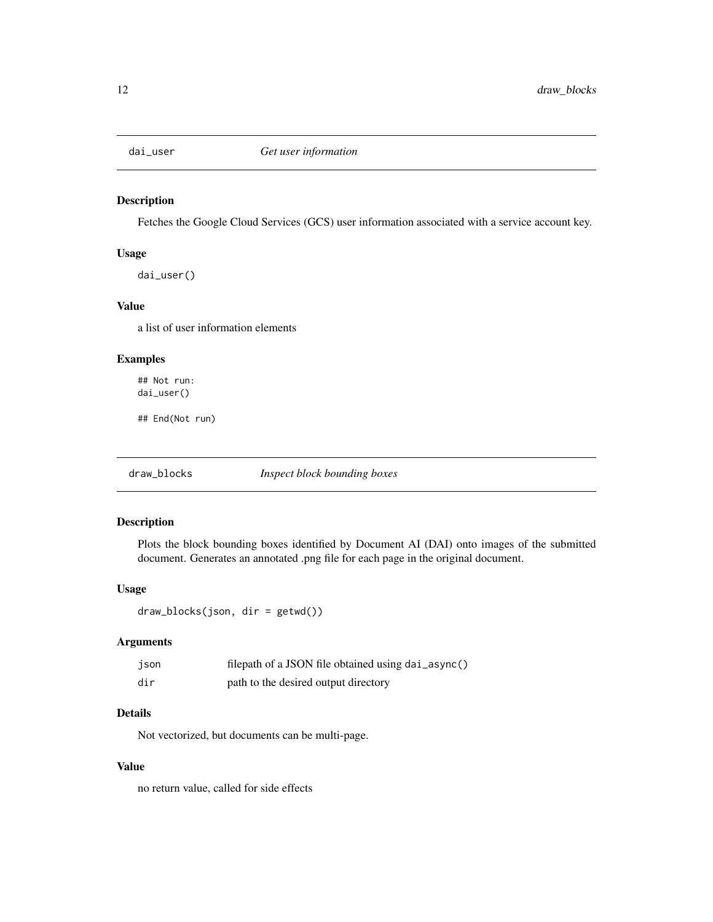<span id="page-11-0"></span>

Fetches the Google Cloud Services (GCS) user information associated with a service account key.

#### Usage

dai\_user()

#### Value

a list of user information elements

#### Examples

## Not run: dai\_user()

## End(Not run)

draw\_blocks *Inspect block bounding boxes*

#### Description

Plots the block bounding boxes identified by Document AI (DAI) onto images of the submitted document. Generates an annotated .png file for each page in the original document.

#### Usage

draw\_blocks(json, dir = getwd())

#### Arguments

| json | filepath of a JSON file obtained using dai_async() |
|------|----------------------------------------------------|
| dir  | path to the desired output directory               |

#### Details

Not vectorized, but documents can be multi-page.

#### Value

no return value, called for side effects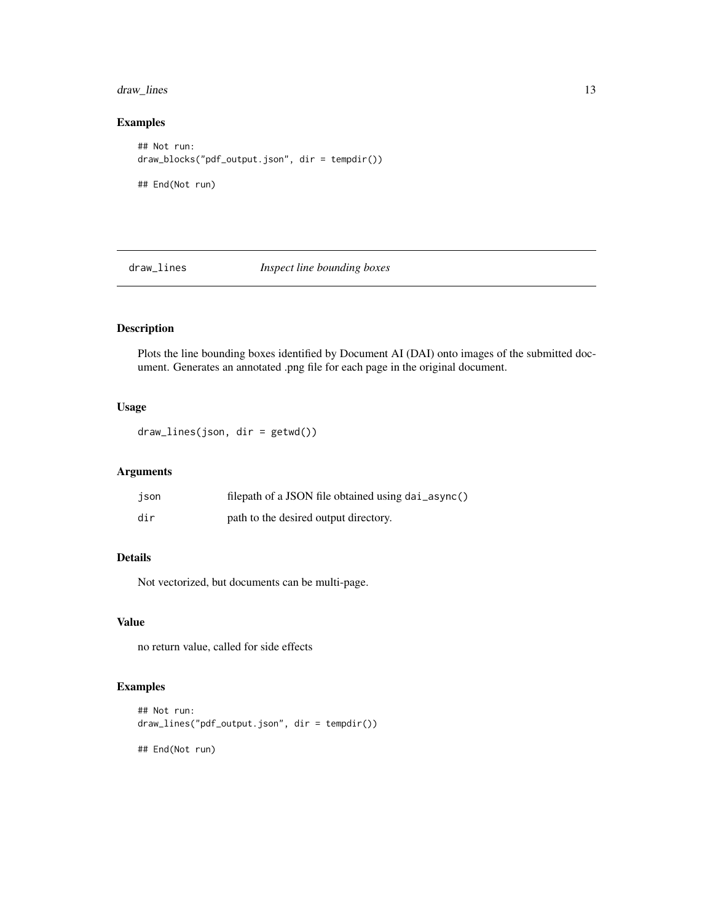#### <span id="page-12-0"></span>draw\_lines 13

#### Examples

```
## Not run:
draw_blocks("pdf_output.json", dir = tempdir())
## End(Not run)
```
draw\_lines *Inspect line bounding boxes*

#### Description

Plots the line bounding boxes identified by Document AI (DAI) onto images of the submitted document. Generates an annotated .png file for each page in the original document.

#### Usage

draw\_lines(json, dir = getwd())

#### Arguments

| json | filepath of a JSON file obtained using dai_async() |
|------|----------------------------------------------------|
| dir  | path to the desired output directory.              |

#### Details

Not vectorized, but documents can be multi-page.

#### Value

no return value, called for side effects

#### Examples

```
## Not run:
draw_lines("pdf_output.json", dir = tempdir())
```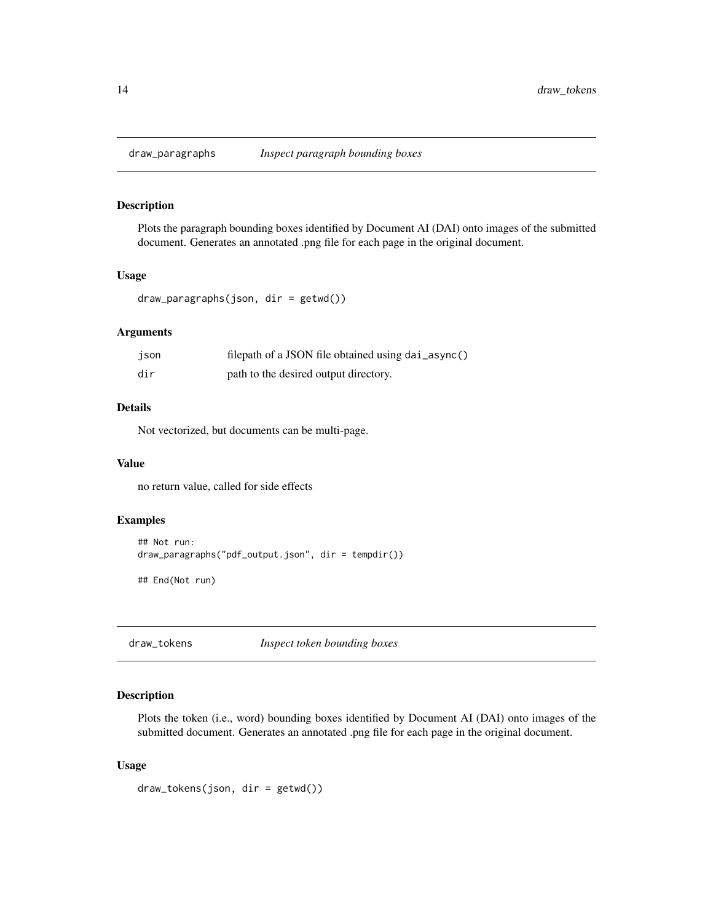<span id="page-13-0"></span>

Plots the paragraph bounding boxes identified by Document AI (DAI) onto images of the submitted document. Generates an annotated .png file for each page in the original document.

#### Usage

```
draw_paragraphs(json, dir = getwd())
```
#### Arguments

| json | filepath of a JSON file obtained using dai_async() |
|------|----------------------------------------------------|
| dir  | path to the desired output directory.              |

#### Details

Not vectorized, but documents can be multi-page.

#### Value

no return value, called for side effects

#### Examples

```
## Not run:
draw_paragraphs("pdf_output.json", dir = tempdir())
```
## End(Not run)

draw\_tokens *Inspect token bounding boxes*

#### Description

Plots the token (i.e., word) bounding boxes identified by Document AI (DAI) onto images of the submitted document. Generates an annotated .png file for each page in the original document.

#### Usage

```
draw_tokens(json, dir = getwd())
```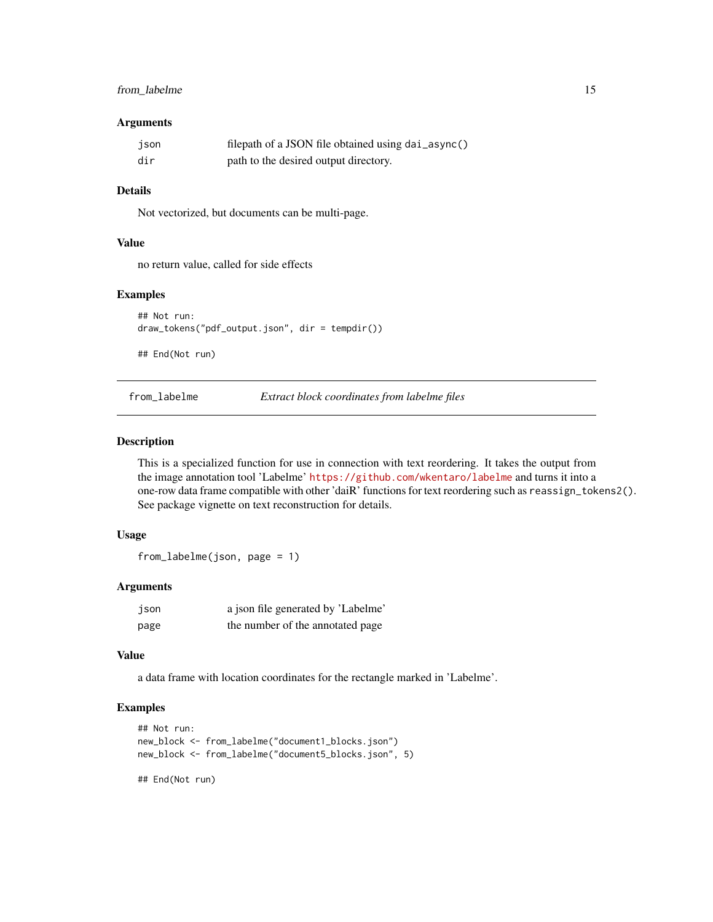#### <span id="page-14-0"></span>from\_labelme 15

#### Arguments

| json | filepath of a JSON file obtained using dai_async() |
|------|----------------------------------------------------|
| dir  | path to the desired output directory.              |

#### Details

Not vectorized, but documents can be multi-page.

#### Value

no return value, called for side effects

#### Examples

```
## Not run:
draw_tokens("pdf_output.json", dir = tempdir())
```
## End(Not run)

from\_labelme *Extract block coordinates from labelme files*

#### Description

This is a specialized function for use in connection with text reordering. It takes the output from the image annotation tool 'Labelme' <https://github.com/wkentaro/labelme> and turns it into a one-row data frame compatible with other 'daiR' functions for text reordering such as reassign\_tokens2(). See package vignette on text reconstruction for details.

#### Usage

from\_labelme(json, page = 1)

#### Arguments

| json | a json file generated by 'Labelme' |
|------|------------------------------------|
| page | the number of the annotated page   |

#### Value

a data frame with location coordinates for the rectangle marked in 'Labelme'.

#### Examples

```
## Not run:
new_block <- from_labelme("document1_blocks.json")
new_block <- from_labelme("document5_blocks.json", 5)
```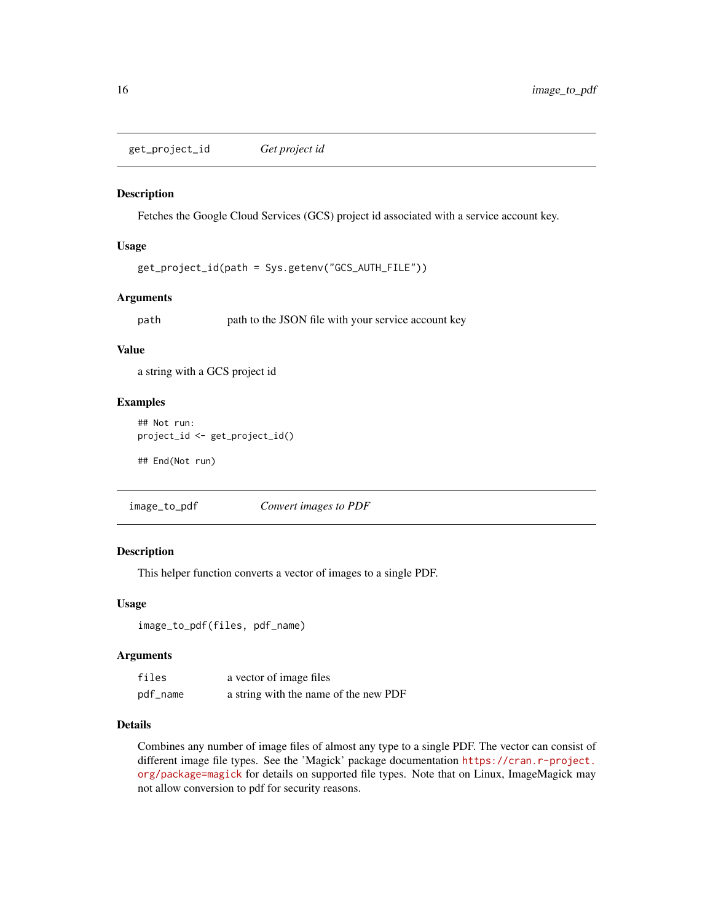<span id="page-15-0"></span>get\_project\_id *Get project id*

#### Description

Fetches the Google Cloud Services (GCS) project id associated with a service account key.

#### Usage

```
get_project_id(path = Sys.getenv("GCS_AUTH_FILE"))
```
#### Arguments

path path to the JSON file with your service account key

#### Value

a string with a GCS project id

#### Examples

```
## Not run:
project_id <- get_project_id()
```
## End(Not run)

image\_to\_pdf *Convert images to PDF*

#### Description

This helper function converts a vector of images to a single PDF.

#### Usage

```
image_to_pdf(files, pdf_name)
```
#### Arguments

| files    | a vector of image files               |
|----------|---------------------------------------|
| pdf_name | a string with the name of the new PDF |

#### Details

Combines any number of image files of almost any type to a single PDF. The vector can consist of different image file types. See the 'Magick' package documentation [https://cran.r-project.](https://cran.r-project.org/package=magick) [org/package=magick](https://cran.r-project.org/package=magick) for details on supported file types. Note that on Linux, ImageMagick may not allow conversion to pdf for security reasons.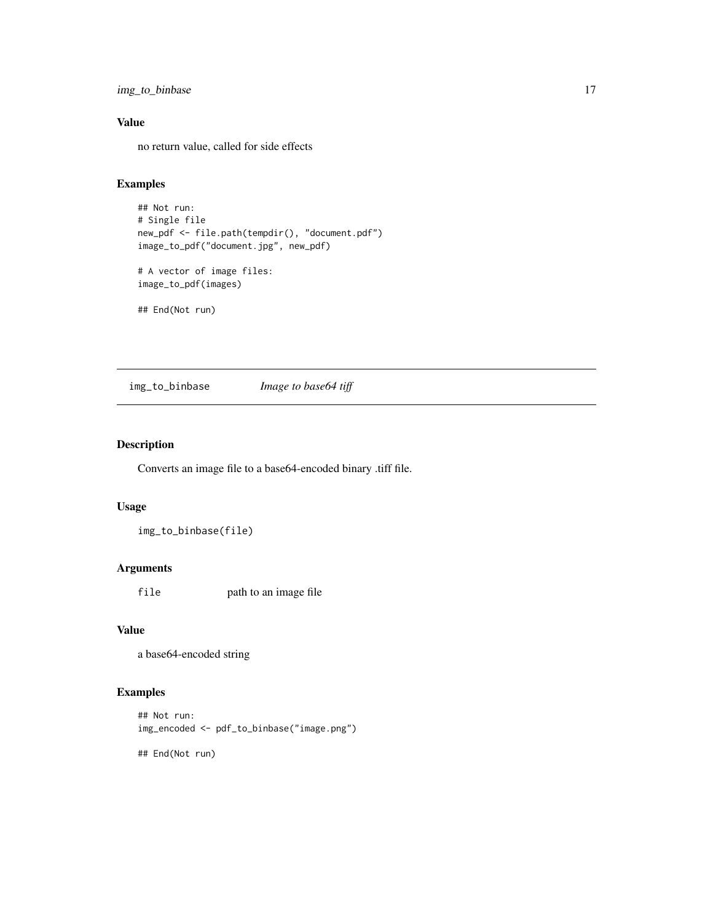<span id="page-16-0"></span>img\_to\_binbase 17

#### Value

no return value, called for side effects

#### Examples

```
## Not run:
# Single file
new_pdf <- file.path(tempdir(), "document.pdf")
image_to_pdf("document.jpg", new_pdf)
# A vector of image files:
image_to_pdf(images)
```
## End(Not run)

img\_to\_binbase *Image to base64 tiff*

#### Description

Converts an image file to a base64-encoded binary .tiff file.

#### Usage

img\_to\_binbase(file)

#### Arguments

file path to an image file

#### Value

a base64-encoded string

#### Examples

```
## Not run:
img_encoded <- pdf_to_binbase("image.png")
```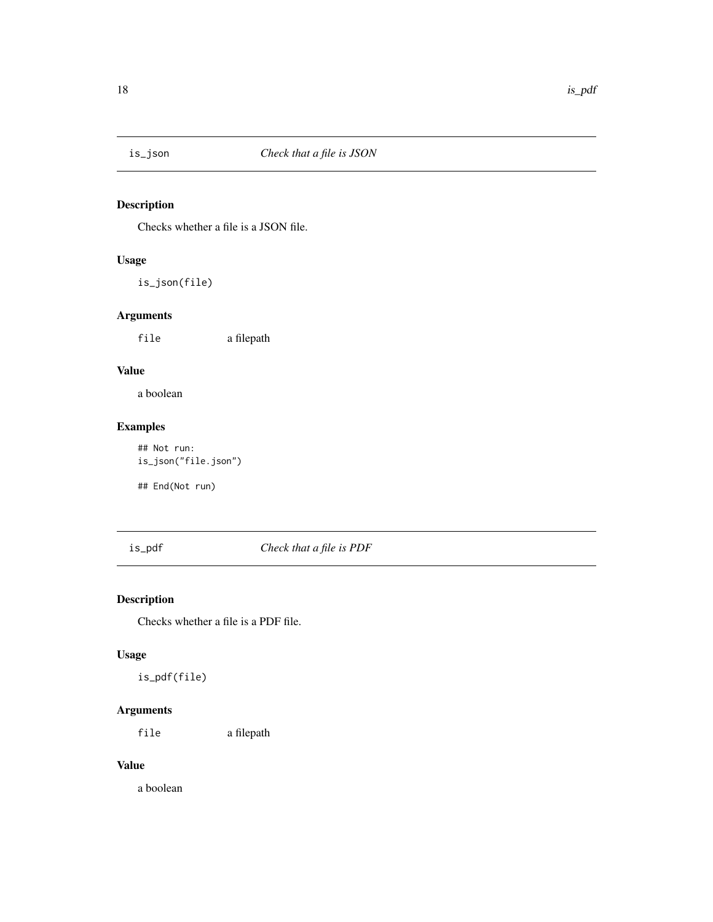<span id="page-17-0"></span>

Checks whether a file is a JSON file.

#### Usage

is\_json(file)

#### Arguments

file a filepath

#### Value

a boolean

#### Examples

## Not run: is\_json("file.json")

## End(Not run)

#### is\_pdf *Check that a file is PDF*

#### Description

Checks whether a file is a PDF file.

#### Usage

is\_pdf(file)

#### Arguments

file a filepath

#### Value

a boolean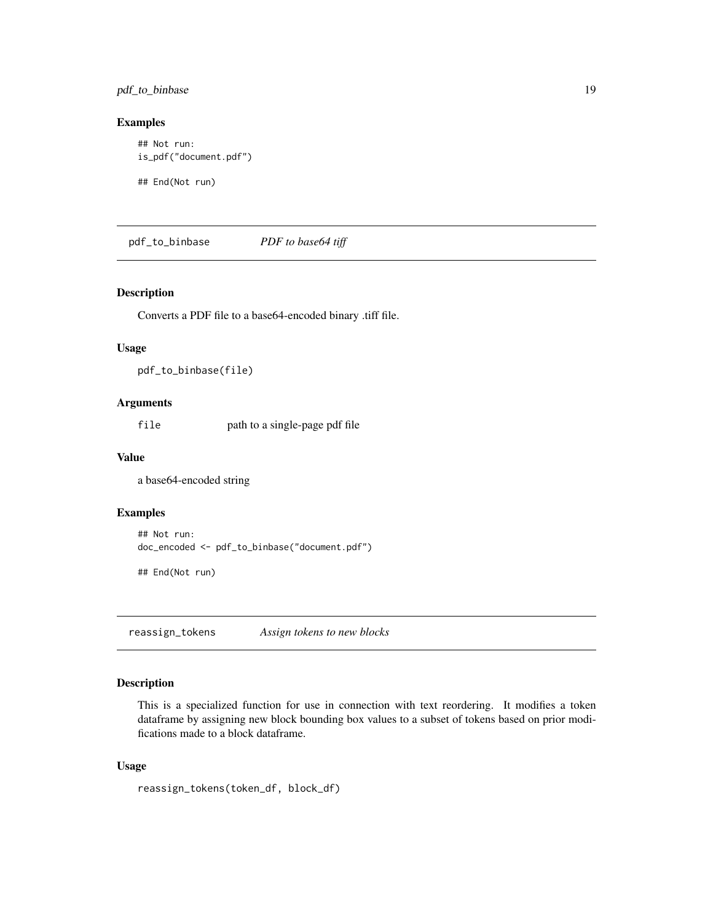<span id="page-18-0"></span>pdf\_to\_binbase 19

#### Examples

## Not run: is\_pdf("document.pdf")

## End(Not run)

pdf\_to\_binbase *PDF to base64 tiff*

#### Description

Converts a PDF file to a base64-encoded binary .tiff file.

#### Usage

pdf\_to\_binbase(file)

#### Arguments

file path to a single-page pdf file

#### Value

a base64-encoded string

#### Examples

```
## Not run:
doc_encoded <- pdf_to_binbase("document.pdf")
```
## End(Not run)

reassign\_tokens *Assign tokens to new blocks*

#### Description

This is a specialized function for use in connection with text reordering. It modifies a token dataframe by assigning new block bounding box values to a subset of tokens based on prior modifications made to a block dataframe.

#### Usage

```
reassign_tokens(token_df, block_df)
```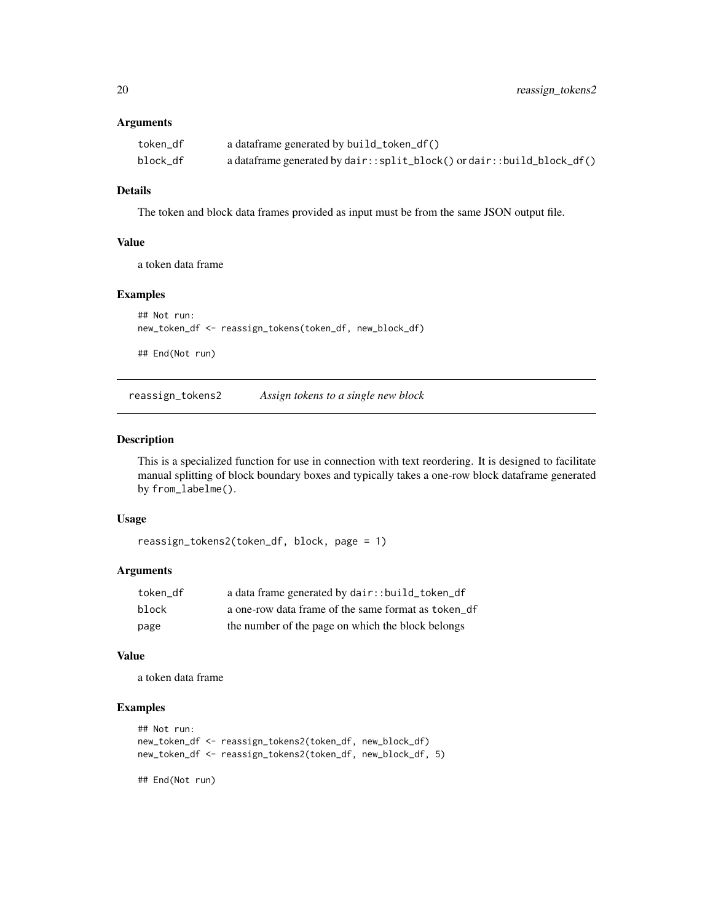#### <span id="page-19-0"></span>Arguments

| token df | a dataframe generated by build_token_df()                              |
|----------|------------------------------------------------------------------------|
| block df | a dataframe generated by dair::split_block() or dair::build_block_df() |

#### Details

The token and block data frames provided as input must be from the same JSON output file.

#### Value

a token data frame

#### Examples

```
## Not run:
new_token_df <- reassign_tokens(token_df, new_block_df)
## End(Not run)
```
reassign\_tokens2 *Assign tokens to a single new block*

#### Description

This is a specialized function for use in connection with text reordering. It is designed to facilitate manual splitting of block boundary boxes and typically takes a one-row block dataframe generated by from\_labelme().

#### Usage

```
reassign_tokens2(token_df, block, page = 1)
```
#### Arguments

| token df | a data frame generated by dair::build_token_df      |
|----------|-----------------------------------------------------|
| block    | a one-row data frame of the same format as token df |
| page     | the number of the page on which the block belongs   |

#### Value

a token data frame

#### Examples

```
## Not run:
new_token_df <- reassign_tokens2(token_df, new_block_df)
new_token_df <- reassign_tokens2(token_df, new_block_df, 5)
```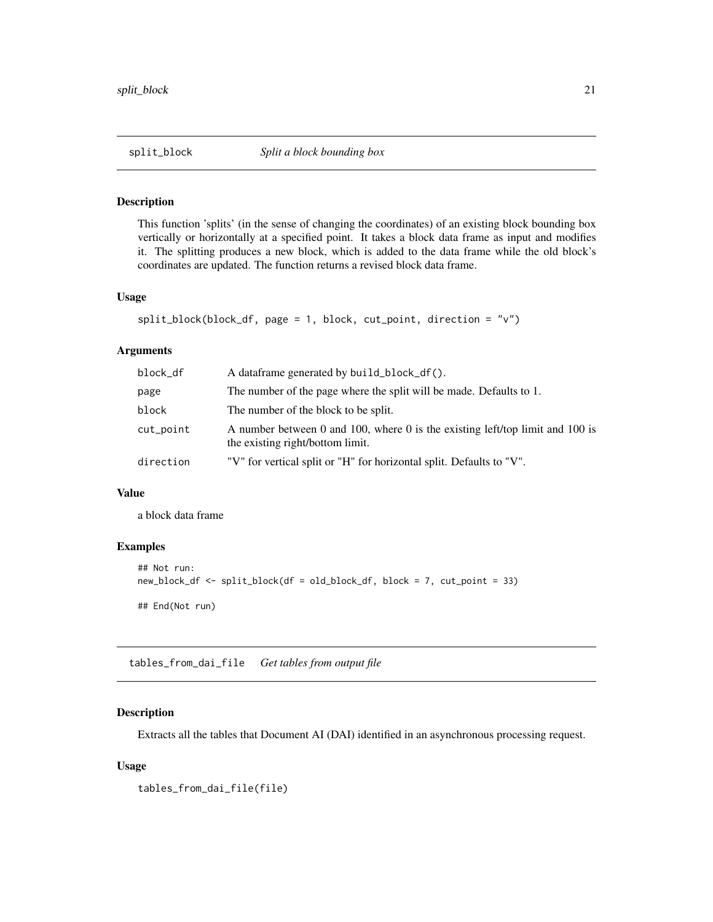<span id="page-20-0"></span>This function 'splits' (in the sense of changing the coordinates) of an existing block bounding box vertically or horizontally at a specified point. It takes a block data frame as input and modifies it. The splitting produces a new block, which is added to the data frame while the old block's coordinates are updated. The function returns a revised block data frame.

#### Usage

```
split_block(block_df, page = 1, block, cut_point, direction = "v")
```
#### Arguments

| block_df  | A dataframe generated by build_block_df().                                                                        |
|-----------|-------------------------------------------------------------------------------------------------------------------|
| page      | The number of the page where the split will be made. Defaults to 1.                                               |
| block     | The number of the block to be split.                                                                              |
| cut_point | A number between 0 and 100, where 0 is the existing left/top limit and 100 is<br>the existing right/bottom limit. |
| direction | "V" for vertical split or "H" for horizontal split. Defaults to "V".                                              |

#### Value

a block data frame

#### Examples

```
## Not run:
new_block_df <- split_block(df = old_block_df, block = 7, cut_point = 33)
## End(Not run)
```
tables\_from\_dai\_file *Get tables from output file*

#### Description

Extracts all the tables that Document AI (DAI) identified in an asynchronous processing request.

#### Usage

```
tables_from_dai_file(file)
```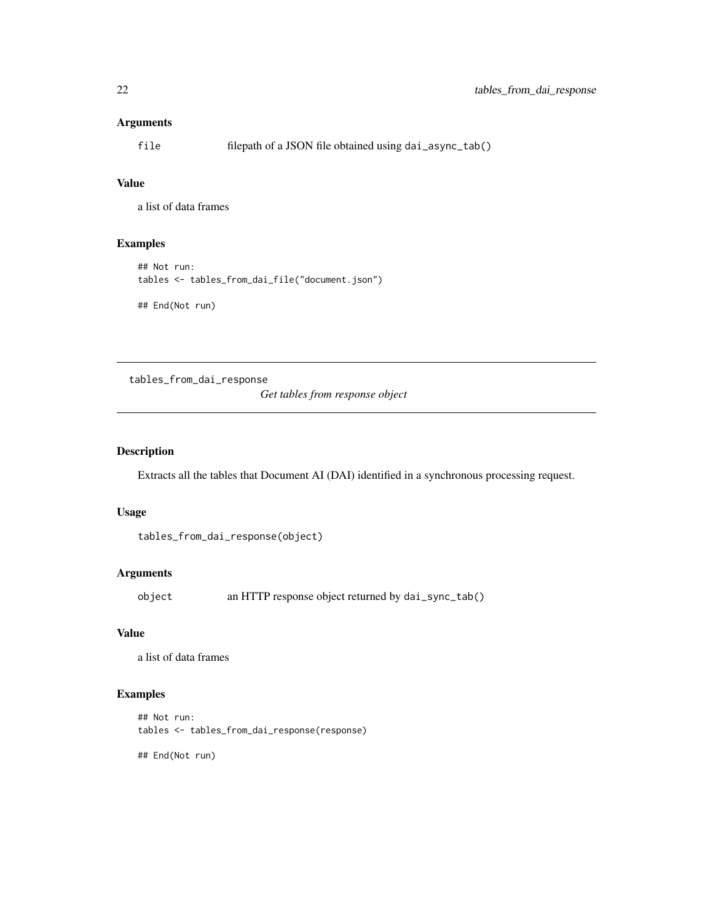#### <span id="page-21-0"></span>Arguments

file filepath of a JSON file obtained using dai\_async\_tab()

#### Value

a list of data frames

#### Examples

```
## Not run:
tables <- tables_from_dai_file("document.json")
## End(Not run)
```
tables\_from\_dai\_response

*Get tables from response object*

#### Description

Extracts all the tables that Document AI (DAI) identified in a synchronous processing request.

#### Usage

```
tables_from_dai_response(object)
```
#### Arguments

object an HTTP response object returned by dai\_sync\_tab()

#### Value

a list of data frames

#### Examples

```
## Not run:
tables <- tables_from_dai_response(response)
```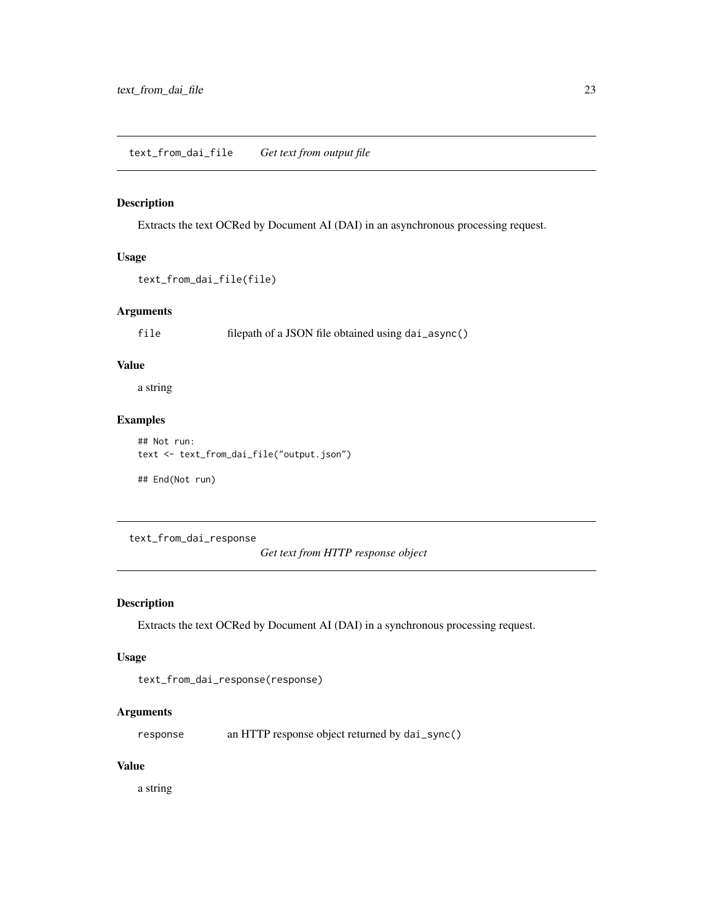<span id="page-22-0"></span>Extracts the text OCRed by Document AI (DAI) in an asynchronous processing request.

#### Usage

```
text_from_dai_file(file)
```
#### Arguments

file filepath of a JSON file obtained using dai\_async()

#### Value

a string

#### Examples

```
## Not run:
text <- text_from_dai_file("output.json")
```
## End(Not run)

text\_from\_dai\_response

*Get text from HTTP response object*

#### Description

Extracts the text OCRed by Document AI (DAI) in a synchronous processing request.

#### Usage

```
text_from_dai_response(response)
```
#### Arguments

response an HTTP response object returned by dai\_sync()

#### Value

a string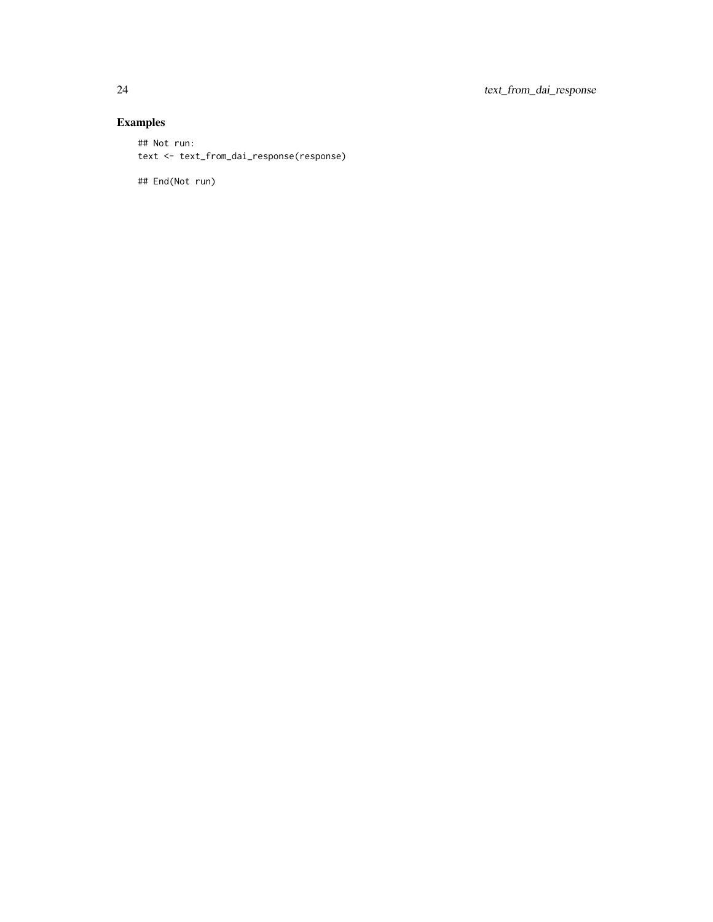### Examples

```
## Not run:
text <- text_from_dai_response(response)
```